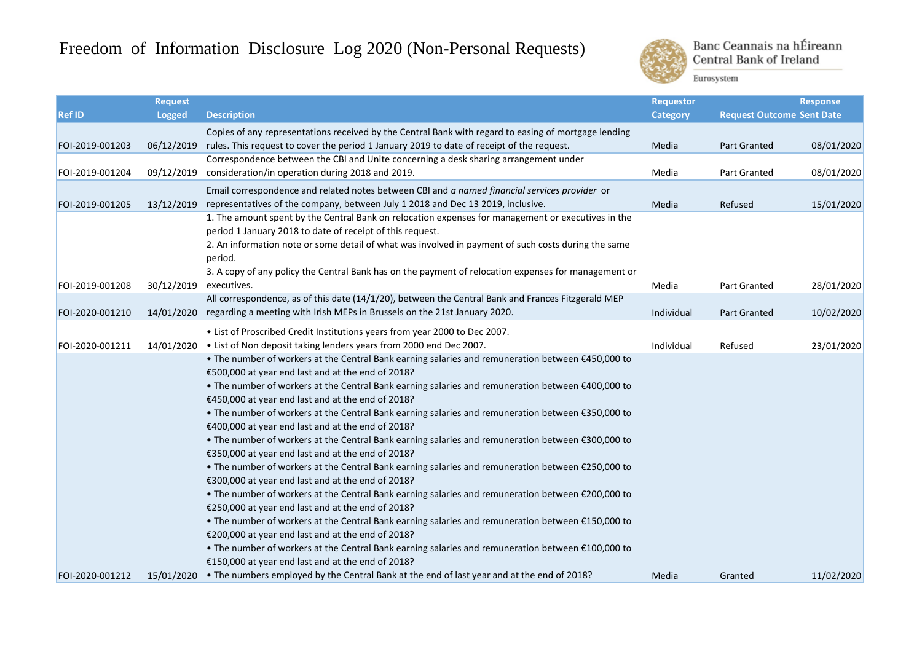## Freedom of Information Disclosure Log 2020 (Non-Personal Requests)



Banc Ceannais na hÉireann **Central Bank of Ireland** 

Eurosystem

|                 | <b>Request</b> |                                                                                                                                                        | <b>Requestor</b> |                                  | <b>Response</b> |
|-----------------|----------------|--------------------------------------------------------------------------------------------------------------------------------------------------------|------------------|----------------------------------|-----------------|
| <b>Ref ID</b>   | <b>Logged</b>  | <b>Description</b>                                                                                                                                     | <b>Category</b>  | <b>Request Outcome Sent Date</b> |                 |
|                 |                | Copies of any representations received by the Central Bank with regard to easing of mortgage lending                                                   |                  |                                  |                 |
| FOI-2019-001203 | 06/12/2019     | rules. This request to cover the period 1 January 2019 to date of receipt of the request.                                                              | Media            | Part Granted                     | 08/01/2020      |
|                 |                | Correspondence between the CBI and Unite concerning a desk sharing arrangement under                                                                   |                  |                                  |                 |
| FOI-2019-001204 | 09/12/2019     | consideration/in operation during 2018 and 2019.                                                                                                       | Media            | Part Granted                     | 08/01/2020      |
|                 |                | Email correspondence and related notes between CBI and a named financial services provider or                                                          |                  |                                  |                 |
| FOI-2019-001205 | 13/12/2019     | representatives of the company, between July 1 2018 and Dec 13 2019, inclusive.                                                                        | Media            | Refused                          | 15/01/2020      |
|                 |                | 1. The amount spent by the Central Bank on relocation expenses for management or executives in the                                                     |                  |                                  |                 |
|                 |                | period 1 January 2018 to date of receipt of this request.                                                                                              |                  |                                  |                 |
|                 |                | 2. An information note or some detail of what was involved in payment of such costs during the same                                                    |                  |                                  |                 |
|                 |                | period.                                                                                                                                                |                  |                                  |                 |
|                 |                | 3. A copy of any policy the Central Bank has on the payment of relocation expenses for management or                                                   |                  |                                  |                 |
| FOI-2019-001208 | 30/12/2019     | executives.                                                                                                                                            | Media            | Part Granted                     | 28/01/2020      |
|                 |                | All correspondence, as of this date (14/1/20), between the Central Bank and Frances Fitzgerald MEP                                                     |                  |                                  |                 |
| FOI-2020-001210 | 14/01/2020     | regarding a meeting with Irish MEPs in Brussels on the 21st January 2020.                                                                              | Individual       | <b>Part Granted</b>              | 10/02/2020      |
|                 |                | . List of Proscribed Credit Institutions years from year 2000 to Dec 2007.                                                                             |                  |                                  |                 |
| FOI-2020-001211 | 14/01/2020     | . List of Non deposit taking lenders years from 2000 end Dec 2007.                                                                                     | Individual       | Refused                          | 23/01/2020      |
|                 |                | . The number of workers at the Central Bank earning salaries and remuneration between €450,000 to                                                      |                  |                                  |                 |
|                 |                | €500,000 at year end last and at the end of 2018?                                                                                                      |                  |                                  |                 |
|                 |                | . The number of workers at the Central Bank earning salaries and remuneration between €400,000 to                                                      |                  |                                  |                 |
|                 |                | €450,000 at year end last and at the end of 2018?                                                                                                      |                  |                                  |                 |
|                 |                | . The number of workers at the Central Bank earning salaries and remuneration between €350,000 to                                                      |                  |                                  |                 |
|                 |                | €400,000 at year end last and at the end of 2018?                                                                                                      |                  |                                  |                 |
|                 |                | . The number of workers at the Central Bank earning salaries and remuneration between €300,000 to                                                      |                  |                                  |                 |
|                 |                | €350,000 at year end last and at the end of 2018?                                                                                                      |                  |                                  |                 |
|                 |                | . The number of workers at the Central Bank earning salaries and remuneration between €250,000 to                                                      |                  |                                  |                 |
|                 |                | €300,000 at year end last and at the end of 2018?                                                                                                      |                  |                                  |                 |
|                 |                | . The number of workers at the Central Bank earning salaries and remuneration between €200,000 to                                                      |                  |                                  |                 |
|                 |                | €250,000 at year end last and at the end of 2018?                                                                                                      |                  |                                  |                 |
|                 |                | . The number of workers at the Central Bank earning salaries and remuneration between €150,000 to                                                      |                  |                                  |                 |
|                 |                | €200,000 at year end last and at the end of 2018?                                                                                                      |                  |                                  |                 |
|                 |                | . The number of workers at the Central Bank earning salaries and remuneration between €100,000 to<br>€150,000 at year end last and at the end of 2018? |                  |                                  |                 |
| FOI-2020-001212 |                | 15/01/2020 • The numbers employed by the Central Bank at the end of last year and at the end of 2018?                                                  | Media            | Granted                          | 11/02/2020      |
|                 |                |                                                                                                                                                        |                  |                                  |                 |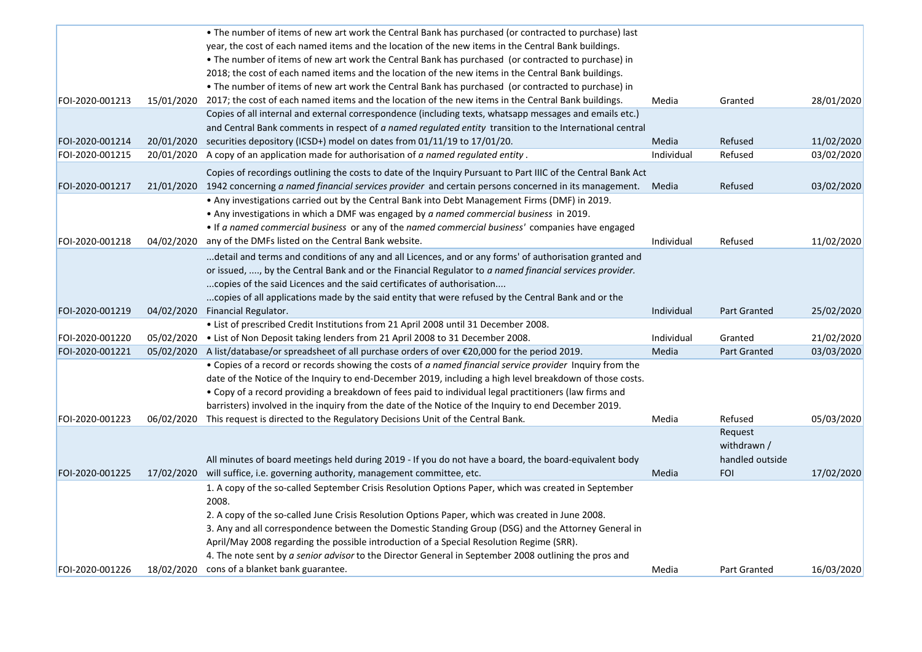|                 |            | . The number of items of new art work the Central Bank has purchased (or contracted to purchase) last                                                 |            |                     |            |
|-----------------|------------|-------------------------------------------------------------------------------------------------------------------------------------------------------|------------|---------------------|------------|
|                 |            | year, the cost of each named items and the location of the new items in the Central Bank buildings.                                                   |            |                     |            |
|                 |            | . The number of items of new art work the Central Bank has purchased (or contracted to purchase) in                                                   |            |                     |            |
|                 |            | 2018; the cost of each named items and the location of the new items in the Central Bank buildings.                                                   |            |                     |            |
|                 |            | . The number of items of new art work the Central Bank has purchased (or contracted to purchase) in                                                   |            |                     |            |
| FOI-2020-001213 |            | 15/01/2020 2017; the cost of each named items and the location of the new items in the Central Bank buildings.                                        | Media      | Granted             | 28/01/2020 |
|                 |            | Copies of all internal and external correspondence (including texts, whatsapp messages and emails etc.)                                               |            |                     |            |
|                 |            | and Central Bank comments in respect of a named regulated entity transition to the International central                                              |            |                     |            |
| FOI-2020-001214 |            | 20/01/2020 securities depository (ICSD+) model on dates from 01/11/19 to 17/01/20.                                                                    | Media      | Refused             | 11/02/2020 |
| FOI-2020-001215 | 20/01/2020 | A copy of an application made for authorisation of a named regulated entity.                                                                          | Individual | Refused             | 03/02/2020 |
|                 |            | Copies of recordings outlining the costs to date of the Inquiry Pursuant to Part IIIC of the Central Bank Act                                         |            |                     |            |
| FOI-2020-001217 |            | 21/01/2020 1942 concerning a named financial services provider and certain persons concerned in its management. Media                                 |            | Refused             | 03/02/2020 |
|                 |            | . Any investigations carried out by the Central Bank into Debt Management Firms (DMF) in 2019.                                                        |            |                     |            |
|                 |            | • Any investigations in which a DMF was engaged by a named commercial business in 2019.                                                               |            |                     |            |
|                 |            | • If a named commercial business or any of the named commercial business' companies have engaged                                                      |            |                     |            |
| FOI-2020-001218 | 04/02/2020 | any of the DMFs listed on the Central Bank website.                                                                                                   | Individual | Refused             | 11/02/2020 |
|                 |            | detail and terms and conditions of any and all Licences, and or any forms' of authorisation granted and                                               |            |                     |            |
|                 |            | or issued, , by the Central Bank and or the Financial Regulator to a named financial services provider.                                               |            |                     |            |
|                 |            | copies of the said Licences and the said certificates of authorisation                                                                                |            |                     |            |
|                 |            | copies of all applications made by the said entity that were refused by the Central Bank and or the                                                   |            |                     |            |
| FOI-2020-001219 |            | 04/02/2020 Financial Regulator.                                                                                                                       | Individual | <b>Part Granted</b> | 25/02/2020 |
|                 |            | . List of prescribed Credit Institutions from 21 April 2008 until 31 December 2008.                                                                   |            |                     |            |
| FOI-2020-001220 | 05/02/2020 | . List of Non Deposit taking lenders from 21 April 2008 to 31 December 2008.                                                                          | Individual | Granted             | 21/02/2020 |
| FOI-2020-001221 |            | 05/02/2020 A list/database/or spreadsheet of all purchase orders of over €20,000 for the period 2019.                                                 | Media      | <b>Part Granted</b> | 03/03/2020 |
|                 |            | . Copies of a record or records showing the costs of a named financial service provider Inquiry from the                                              |            |                     |            |
|                 |            | date of the Notice of the Inquiry to end-December 2019, including a high level breakdown of those costs.                                              |            |                     |            |
|                 |            | • Copy of a record providing a breakdown of fees paid to individual legal practitioners (law firms and                                                |            |                     |            |
|                 |            | barristers) involved in the inquiry from the date of the Notice of the Inquiry to end December 2019.                                                  |            |                     |            |
| FOI-2020-001223 |            | 06/02/2020 This request is directed to the Regulatory Decisions Unit of the Central Bank.                                                             | Media      | Refused             | 05/03/2020 |
|                 |            |                                                                                                                                                       |            |                     |            |
|                 |            |                                                                                                                                                       |            | Request             |            |
|                 |            |                                                                                                                                                       |            | withdrawn /         |            |
|                 |            | All minutes of board meetings held during 2019 - If you do not have a board, the board-equivalent body                                                |            | handled outside     |            |
| FOI-2020-001225 |            | 17/02/2020 will suffice, i.e. governing authority, management committee, etc.                                                                         | Media      | <b>FOI</b>          | 17/02/2020 |
|                 |            | 1. A copy of the so-called September Crisis Resolution Options Paper, which was created in September                                                  |            |                     |            |
|                 |            | 2008.                                                                                                                                                 |            |                     |            |
|                 |            | 2. A copy of the so-called June Crisis Resolution Options Paper, which was created in June 2008.                                                      |            |                     |            |
|                 |            | 3. Any and all correspondence between the Domestic Standing Group (DSG) and the Attorney General in                                                   |            |                     |            |
|                 |            | April/May 2008 regarding the possible introduction of a Special Resolution Regime (SRR).                                                              |            |                     |            |
| FOI-2020-001226 |            | 4. The note sent by a senior advisor to the Director General in September 2008 outlining the pros and<br>18/02/2020 cons of a blanket bank guarantee. |            |                     | 16/03/2020 |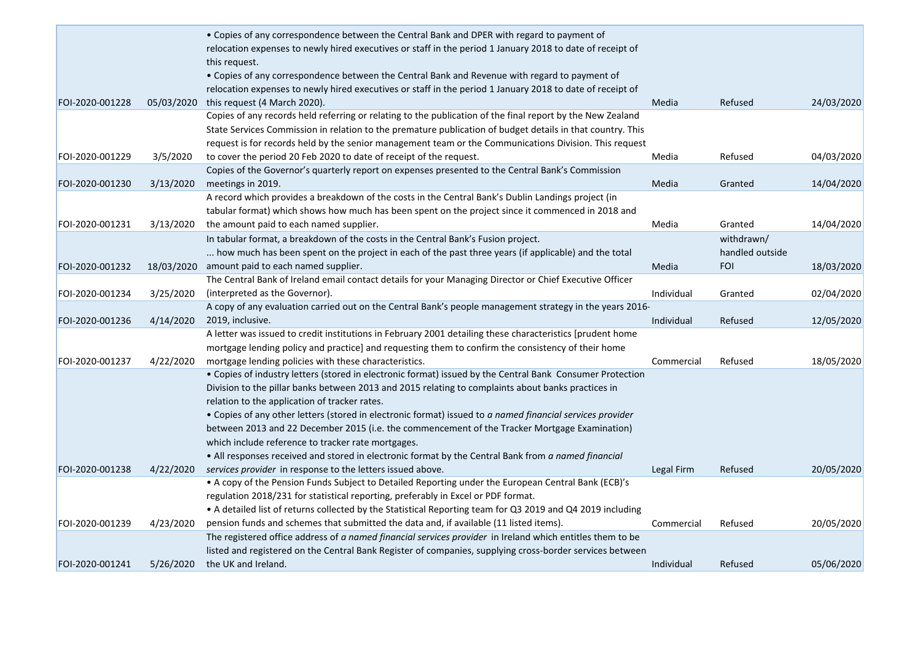|                 |            | • Copies of any correspondence between the Central Bank and DPER with regard to payment of                                                                                                           |            |                 |            |
|-----------------|------------|------------------------------------------------------------------------------------------------------------------------------------------------------------------------------------------------------|------------|-----------------|------------|
|                 |            | relocation expenses to newly hired executives or staff in the period 1 January 2018 to date of receipt of<br>this request.                                                                           |            |                 |            |
|                 |            | • Copies of any correspondence between the Central Bank and Revenue with regard to payment of                                                                                                        |            |                 |            |
|                 |            | relocation expenses to newly hired executives or staff in the period 1 January 2018 to date of receipt of                                                                                            |            |                 |            |
| FOI-2020-001228 | 05/03/2020 | this request (4 March 2020).                                                                                                                                                                         | Media      | Refused         | 24/03/2020 |
|                 |            | Copies of any records held referring or relating to the publication of the final report by the New Zealand                                                                                           |            |                 |            |
|                 |            | State Services Commission in relation to the premature publication of budget details in that country. This                                                                                           |            |                 |            |
|                 |            | request is for records held by the senior management team or the Communications Division. This request                                                                                               |            |                 |            |
| FOI-2020-001229 | 3/5/2020   | to cover the period 20 Feb 2020 to date of receipt of the request.                                                                                                                                   | Media      | Refused         | 04/03/2020 |
|                 |            | Copies of the Governor's quarterly report on expenses presented to the Central Bank's Commission                                                                                                     |            |                 |            |
| FOI-2020-001230 | 3/13/2020  | meetings in 2019.                                                                                                                                                                                    | Media      | Granted         | 14/04/2020 |
|                 |            | A record which provides a breakdown of the costs in the Central Bank's Dublin Landings project (in                                                                                                   |            |                 |            |
|                 |            | tabular format) which shows how much has been spent on the project since it commenced in 2018 and                                                                                                    |            |                 |            |
| FOI-2020-001231 | 3/13/2020  | the amount paid to each named supplier.                                                                                                                                                              | Media      | Granted         | 14/04/2020 |
|                 |            | In tabular format, a breakdown of the costs in the Central Bank's Fusion project.                                                                                                                    |            | withdrawn/      |            |
|                 |            | how much has been spent on the project in each of the past three years (if applicable) and the total                                                                                                 |            | handled outside |            |
| FOI-2020-001232 |            | 18/03/2020 amount paid to each named supplier.                                                                                                                                                       | Media      | <b>FOI</b>      | 18/03/2020 |
|                 |            | The Central Bank of Ireland email contact details for your Managing Director or Chief Executive Officer                                                                                              |            |                 |            |
| FOI-2020-001234 | 3/25/2020  | (interpreted as the Governor).                                                                                                                                                                       | Individual | Granted         | 02/04/2020 |
|                 |            | A copy of any evaluation carried out on the Central Bank's people management strategy in the years 2016-                                                                                             |            |                 |            |
| FOI-2020-001236 | 4/14/2020  | 2019, inclusive.                                                                                                                                                                                     | Individual | Refused         | 12/05/2020 |
|                 |            | A letter was issued to credit institutions in February 2001 detailing these characteristics [prudent home                                                                                            |            |                 |            |
|                 |            | mortgage lending policy and practice] and requesting them to confirm the consistency of their home                                                                                                   |            |                 |            |
| FOI-2020-001237 | 4/22/2020  | mortgage lending policies with these characteristics.                                                                                                                                                | Commercial | Refused         | 18/05/2020 |
|                 |            | • Copies of industry letters (stored in electronic format) issued by the Central Bank Consumer Protection                                                                                            |            |                 |            |
|                 |            | Division to the pillar banks between 2013 and 2015 relating to complaints about banks practices in                                                                                                   |            |                 |            |
|                 |            | relation to the application of tracker rates.                                                                                                                                                        |            |                 |            |
|                 |            | . Copies of any other letters (stored in electronic format) issued to a named financial services provider                                                                                            |            |                 |            |
|                 |            | between 2013 and 22 December 2015 (i.e. the commencement of the Tracker Mortgage Examination)                                                                                                        |            |                 |            |
|                 |            | which include reference to tracker rate mortgages.                                                                                                                                                   |            |                 |            |
|                 |            | . All responses received and stored in electronic format by the Central Bank from a named financial                                                                                                  |            |                 |            |
| FOI-2020-001238 | 4/22/2020  | services provider in response to the letters issued above.                                                                                                                                           | Legal Firm | Refused         | 20/05/2020 |
|                 |            | • A copy of the Pension Funds Subject to Detailed Reporting under the European Central Bank (ECB)'s                                                                                                  |            |                 |            |
|                 |            | regulation 2018/231 for statistical reporting, preferably in Excel or PDF format.                                                                                                                    |            |                 |            |
|                 |            | • A detailed list of returns collected by the Statistical Reporting team for Q3 2019 and Q4 2019 including<br>pension funds and schemes that submitted the data and, if available (11 listed items). |            |                 |            |
| FOI-2020-001239 | 4/23/2020  | The registered office address of a named financial services provider in Ireland which entitles them to be                                                                                            | Commercial | Refused         | 20/05/2020 |
|                 |            | listed and registered on the Central Bank Register of companies, supplying cross-border services between                                                                                             |            |                 |            |
| FOI-2020-001241 | 5/26/2020  | the UK and Ireland.                                                                                                                                                                                  | Individual |                 | 05/06/2020 |
|                 |            |                                                                                                                                                                                                      |            | Refused         |            |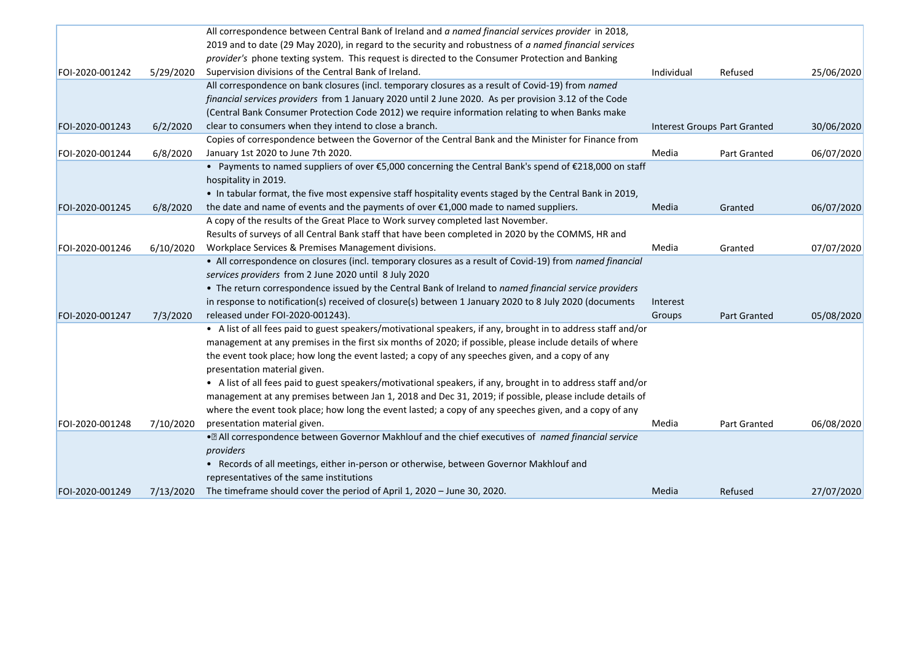|                 |           | All correspondence between Central Bank of Ireland and a named financial services provider in 2018,             |            |                              |            |
|-----------------|-----------|-----------------------------------------------------------------------------------------------------------------|------------|------------------------------|------------|
|                 |           | 2019 and to date (29 May 2020), in regard to the security and robustness of a named financial services          |            |                              |            |
|                 |           | provider's phone texting system. This request is directed to the Consumer Protection and Banking                |            |                              |            |
| FOI-2020-001242 | 5/29/2020 | Supervision divisions of the Central Bank of Ireland.                                                           | Individual | Refused                      | 25/06/2020 |
|                 |           | All correspondence on bank closures (incl. temporary closures as a result of Covid-19) from named               |            |                              |            |
|                 |           | financial services providers from 1 January 2020 until 2 June 2020. As per provision 3.12 of the Code           |            |                              |            |
|                 |           | (Central Bank Consumer Protection Code 2012) we require information relating to when Banks make                 |            |                              |            |
| FOI-2020-001243 | 6/2/2020  | clear to consumers when they intend to close a branch.                                                          |            | Interest Groups Part Granted | 30/06/2020 |
|                 |           | Copies of correspondence between the Governor of the Central Bank and the Minister for Finance from             |            |                              |            |
| FOI-2020-001244 | 6/8/2020  | January 1st 2020 to June 7th 2020.                                                                              | Media      | Part Granted                 | 06/07/2020 |
|                 |           | • Payments to named suppliers of over €5,000 concerning the Central Bank's spend of €218,000 on staff           |            |                              |            |
|                 |           | hospitality in 2019.                                                                                            |            |                              |            |
|                 |           | . In tabular format, the five most expensive staff hospitality events staged by the Central Bank in 2019,       |            |                              |            |
| FOI-2020-001245 | 6/8/2020  | the date and name of events and the payments of over $\epsilon$ 1,000 made to named suppliers.                  | Media      | Granted                      | 06/07/2020 |
|                 |           | A copy of the results of the Great Place to Work survey completed last November.                                |            |                              |            |
|                 |           | Results of surveys of all Central Bank staff that have been completed in 2020 by the COMMS, HR and              |            |                              |            |
| FOI-2020-001246 | 6/10/2020 | Workplace Services & Premises Management divisions.                                                             | Media      | Granted                      | 07/07/2020 |
|                 |           | • All correspondence on closures (incl. temporary closures as a result of Covid-19) from named financial        |            |                              |            |
|                 |           | services providers from 2 June 2020 until 8 July 2020                                                           |            |                              |            |
|                 |           | • The return correspondence issued by the Central Bank of Ireland to named financial service providers          |            |                              |            |
|                 |           | in response to notification(s) received of closure(s) between 1 January 2020 to 8 July 2020 (documents          | Interest   |                              |            |
| FOI-2020-001247 | 7/3/2020  | released under FOI-2020-001243).                                                                                | Groups     | Part Granted                 | 05/08/2020 |
|                 |           | • A list of all fees paid to guest speakers/motivational speakers, if any, brought in to address staff and/or   |            |                              |            |
|                 |           | management at any premises in the first six months of 2020; if possible, please include details of where        |            |                              |            |
|                 |           | the event took place; how long the event lasted; a copy of any speeches given, and a copy of any                |            |                              |            |
|                 |           | presentation material given.                                                                                    |            |                              |            |
|                 |           | • A list of all fees paid to guest speakers/motivational speakers, if any, brought in to address staff and/or   |            |                              |            |
|                 |           | management at any premises between Jan 1, 2018 and Dec 31, 2019; if possible, please include details of         |            |                              |            |
|                 |           | where the event took place; how long the event lasted; a copy of any speeches given, and a copy of any          |            |                              |            |
| FOI-2020-001248 | 7/10/2020 | presentation material given.                                                                                    | Media      | Part Granted                 | 06/08/2020 |
|                 |           | . <sup>®</sup> All correspondence between Governor Makhlouf and the chief executives of named financial service |            |                              |            |
|                 |           | providers                                                                                                       |            |                              |            |
|                 |           | • Records of all meetings, either in-person or otherwise, between Governor Makhlouf and                         |            |                              |            |
|                 |           | representatives of the same institutions                                                                        |            |                              |            |
| FOI-2020-001249 | 7/13/2020 | The timeframe should cover the period of April 1, 2020 - June 30, 2020.                                         | Media      | Refused                      | 27/07/2020 |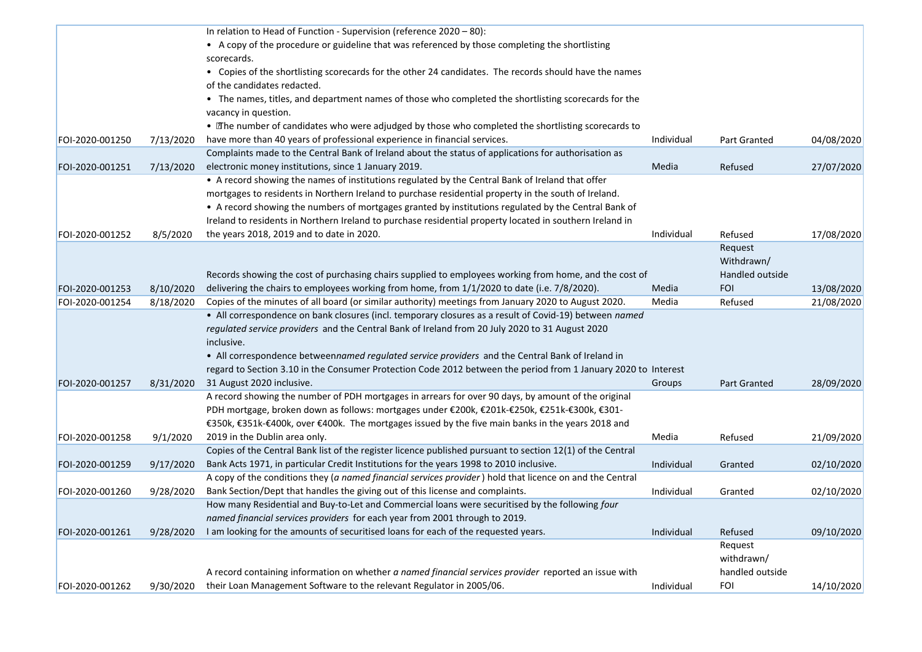|                 |           | In relation to Head of Function - Supervision (reference 2020 - 80):                                           |            |                 |            |
|-----------------|-----------|----------------------------------------------------------------------------------------------------------------|------------|-----------------|------------|
|                 |           | • A copy of the procedure or guideline that was referenced by those completing the shortlisting                |            |                 |            |
|                 |           | scorecards.                                                                                                    |            |                 |            |
|                 |           | • Copies of the shortlisting scorecards for the other 24 candidates. The records should have the names         |            |                 |            |
|                 |           | of the candidates redacted.                                                                                    |            |                 |            |
|                 |           | • The names, titles, and department names of those who completed the shortlisting scorecards for the           |            |                 |            |
|                 |           | vacancy in question.                                                                                           |            |                 |            |
|                 |           | • The number of candidates who were adjudged by those who completed the shortlisting scorecards to             |            |                 |            |
| FOI-2020-001250 | 7/13/2020 | have more than 40 years of professional experience in financial services.                                      | Individual | Part Granted    | 04/08/2020 |
|                 |           | Complaints made to the Central Bank of Ireland about the status of applications for authorisation as           |            |                 |            |
| FOI-2020-001251 | 7/13/2020 | electronic money institutions, since 1 January 2019.                                                           | Media      | Refused         | 27/07/2020 |
|                 |           | • A record showing the names of institutions regulated by the Central Bank of Ireland that offer               |            |                 |            |
|                 |           | mortgages to residents in Northern Ireland to purchase residential property in the south of Ireland.           |            |                 |            |
|                 |           | • A record showing the numbers of mortgages granted by institutions regulated by the Central Bank of           |            |                 |            |
|                 |           | Ireland to residents in Northern Ireland to purchase residential property located in southern Ireland in       |            |                 |            |
|                 |           |                                                                                                                | Individual |                 | 17/08/2020 |
| FOI-2020-001252 | 8/5/2020  | the years 2018, 2019 and to date in 2020.                                                                      |            | Refused         |            |
|                 |           |                                                                                                                |            | Request         |            |
|                 |           |                                                                                                                |            | Withdrawn/      |            |
|                 |           | Records showing the cost of purchasing chairs supplied to employees working from home, and the cost of         |            | Handled outside |            |
| FOI-2020-001253 | 8/10/2020 | delivering the chairs to employees working from home, from 1/1/2020 to date (i.e. 7/8/2020).                   | Media      | <b>FOI</b>      | 13/08/2020 |
| FOI-2020-001254 | 8/18/2020 | Copies of the minutes of all board (or similar authority) meetings from January 2020 to August 2020.           | Media      | Refused         | 21/08/2020 |
|                 |           | • All correspondence on bank closures (incl. temporary closures as a result of Covid-19) between named         |            |                 |            |
|                 |           | regulated service providers and the Central Bank of Ireland from 20 July 2020 to 31 August 2020                |            |                 |            |
|                 |           | inclusive.                                                                                                     |            |                 |            |
|                 |           | . All correspondence betweennamed regulated service providers and the Central Bank of Ireland in               |            |                 |            |
|                 |           | regard to Section 3.10 in the Consumer Protection Code 2012 between the period from 1 January 2020 to Interest |            |                 |            |
| FOI-2020-001257 | 8/31/2020 | 31 August 2020 inclusive.                                                                                      | Groups     | Part Granted    | 28/09/2020 |
|                 |           | A record showing the number of PDH mortgages in arrears for over 90 days, by amount of the original            |            |                 |            |
|                 |           | PDH mortgage, broken down as follows: mortgages under €200k, €201k-€250k, €251k-€300k, €301-                   |            |                 |            |
|                 |           | €350k, €351k-€400k, over €400k. The mortgages issued by the five main banks in the years 2018 and              |            |                 |            |
| FOI-2020-001258 | 9/1/2020  | 2019 in the Dublin area only.                                                                                  | Media      | Refused         | 21/09/2020 |
|                 |           | Copies of the Central Bank list of the register licence published pursuant to section 12(1) of the Central     |            |                 |            |
| FOI-2020-001259 | 9/17/2020 | Bank Acts 1971, in particular Credit Institutions for the years 1998 to 2010 inclusive.                        | Individual | Granted         | 02/10/2020 |
|                 |           | A copy of the conditions they (a named financial services provider) hold that licence on and the Central       |            |                 |            |
| FOI-2020-001260 | 9/28/2020 | Bank Section/Dept that handles the giving out of this license and complaints.                                  | Individual | Granted         | 02/10/2020 |
|                 |           | How many Residential and Buy-to-Let and Commercial loans were securitised by the following four                |            |                 |            |
|                 |           | named financial services providers for each year from 2001 through to 2019.                                    |            |                 |            |
| FOI-2020-001261 | 9/28/2020 | I am looking for the amounts of securitised loans for each of the requested years.                             | Individual | Refused         | 09/10/2020 |
|                 |           |                                                                                                                |            | Request         |            |
|                 |           |                                                                                                                |            | withdrawn/      |            |
|                 |           | A record containing information on whether a named financial services provider reported an issue with          |            | handled outside |            |
| FOI-2020-001262 | 9/30/2020 | their Loan Management Software to the relevant Regulator in 2005/06.                                           | Individual | <b>FOI</b>      | 14/10/2020 |
|                 |           |                                                                                                                |            |                 |            |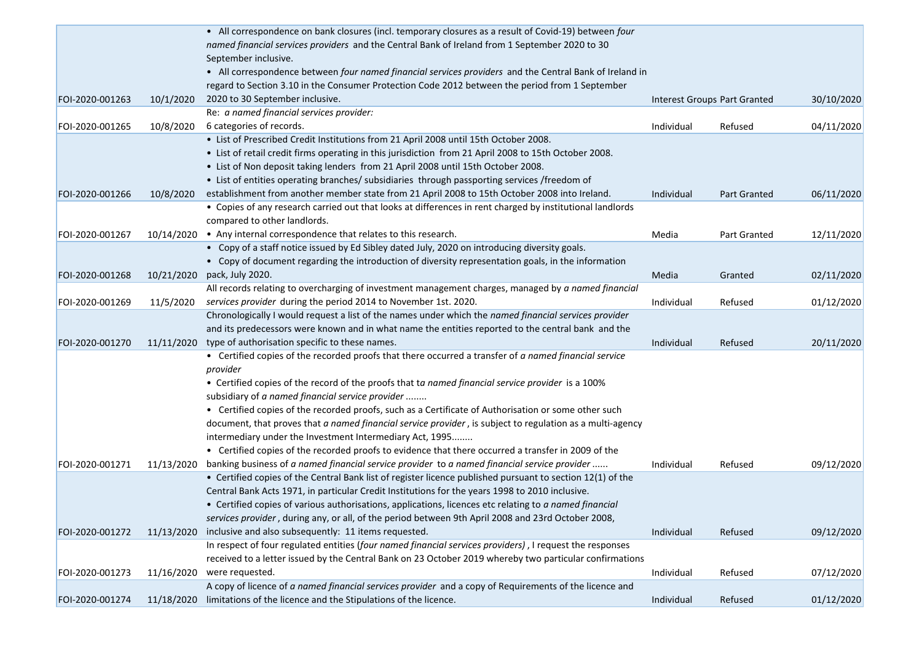|                 |            | • All correspondence on bank closures (incl. temporary closures as a result of Covid-19) between four                                                                                                        |            |                              |            |
|-----------------|------------|--------------------------------------------------------------------------------------------------------------------------------------------------------------------------------------------------------------|------------|------------------------------|------------|
|                 |            | named financial services providers and the Central Bank of Ireland from 1 September 2020 to 30                                                                                                               |            |                              |            |
|                 |            | September inclusive.                                                                                                                                                                                         |            |                              |            |
|                 |            | • All correspondence between four named financial services providers and the Central Bank of Ireland in                                                                                                      |            |                              |            |
|                 |            | regard to Section 3.10 in the Consumer Protection Code 2012 between the period from 1 September                                                                                                              |            |                              |            |
| FOI-2020-001263 | 10/1/2020  | 2020 to 30 September inclusive.                                                                                                                                                                              |            | Interest Groups Part Granted | 30/10/2020 |
|                 |            | Re: a named financial services provider:                                                                                                                                                                     |            |                              |            |
| FOI-2020-001265 | 10/8/2020  | 6 categories of records.                                                                                                                                                                                     | Individual | Refused                      | 04/11/2020 |
|                 |            | • List of Prescribed Credit Institutions from 21 April 2008 until 15th October 2008.                                                                                                                         |            |                              |            |
|                 |            | • List of retail credit firms operating in this jurisdiction from 21 April 2008 to 15th October 2008.                                                                                                        |            |                              |            |
|                 |            | • List of Non deposit taking lenders from 21 April 2008 until 15th October 2008.                                                                                                                             |            |                              |            |
|                 |            | • List of entities operating branches/ subsidiaries through passporting services /freedom of                                                                                                                 |            |                              |            |
| FOI-2020-001266 | 10/8/2020  | establishment from another member state from 21 April 2008 to 15th October 2008 into Ireland.                                                                                                                | Individual | Part Granted                 | 06/11/2020 |
|                 |            | • Copies of any research carried out that looks at differences in rent charged by institutional landlords                                                                                                    |            |                              |            |
|                 |            | compared to other landlords.                                                                                                                                                                                 |            |                              |            |
| FOI-2020-001267 | 10/14/2020 | • Any internal correspondence that relates to this research.                                                                                                                                                 | Media      | Part Granted                 | 12/11/2020 |
|                 |            | • Copy of a staff notice issued by Ed Sibley dated July, 2020 on introducing diversity goals.                                                                                                                |            |                              |            |
|                 |            | • Copy of document regarding the introduction of diversity representation goals, in the information                                                                                                          |            |                              |            |
| FOI-2020-001268 | 10/21/2020 | pack, July 2020.                                                                                                                                                                                             | Media      | Granted                      | 02/11/2020 |
|                 |            | All records relating to overcharging of investment management charges, managed by a named financial                                                                                                          |            |                              |            |
| FOI-2020-001269 | 11/5/2020  | services provider during the period 2014 to November 1st. 2020.                                                                                                                                              | Individual | Refused                      | 01/12/2020 |
|                 |            | Chronologically I would request a list of the names under which the named financial services provider                                                                                                        |            |                              |            |
|                 |            | and its predecessors were known and in what name the entities reported to the central bank and the                                                                                                           |            |                              |            |
| FOI-2020-001270 | 11/11/2020 | type of authorisation specific to these names.                                                                                                                                                               | Individual | Refused                      | 20/11/2020 |
|                 |            | • Certified copies of the recorded proofs that there occurred a transfer of a named financial service                                                                                                        |            |                              |            |
|                 |            | provider                                                                                                                                                                                                     |            |                              |            |
|                 |            | • Certified copies of the record of the proofs that ta named financial service provider is a 100%                                                                                                            |            |                              |            |
|                 |            | subsidiary of a named financial service provider                                                                                                                                                             |            |                              |            |
|                 |            | • Certified copies of the recorded proofs, such as a Certificate of Authorisation or some other such                                                                                                         |            |                              |            |
|                 |            | document, that proves that a named financial service provider, is subject to regulation as a multi-agency                                                                                                    |            |                              |            |
|                 |            | intermediary under the Investment Intermediary Act, 1995                                                                                                                                                     |            |                              |            |
|                 |            | • Certified copies of the recorded proofs to evidence that there occurred a transfer in 2009 of the                                                                                                          |            |                              |            |
| FOI-2020-001271 |            | banking business of a named financial service provider to a named financial service provider                                                                                                                 | Individual | Refused                      | 09/12/2020 |
|                 | 11/13/2020 | • Certified copies of the Central Bank list of register licence published pursuant to section 12(1) of the                                                                                                   |            |                              |            |
|                 |            | Central Bank Acts 1971, in particular Credit Institutions for the years 1998 to 2010 inclusive.                                                                                                              |            |                              |            |
|                 |            |                                                                                                                                                                                                              |            |                              |            |
|                 |            | • Certified copies of various authorisations, applications, licences etc relating to a named financial<br>services provider, during any, or all, of the period between 9th April 2008 and 23rd October 2008, |            |                              |            |
|                 |            | inclusive and also subsequently: 11 items requested.                                                                                                                                                         |            |                              |            |
| FOI-2020-001272 | 11/13/2020 |                                                                                                                                                                                                              | Individual | Refused                      | 09/12/2020 |
|                 |            | In respect of four regulated entities (four named financial services providers), I request the responses                                                                                                     |            |                              |            |
|                 |            | received to a letter issued by the Central Bank on 23 October 2019 whereby two particular confirmations                                                                                                      |            |                              |            |
| FOI-2020-001273 |            | 11/16/2020 were requested.                                                                                                                                                                                   | Individual | Refused                      | 07/12/2020 |
|                 |            | A copy of licence of a named financial services provider and a copy of Requirements of the licence and                                                                                                       |            |                              |            |
| FOI-2020-001274 |            | 11/18/2020 limitations of the licence and the Stipulations of the licence.                                                                                                                                   | Individual | Refused                      | 01/12/2020 |